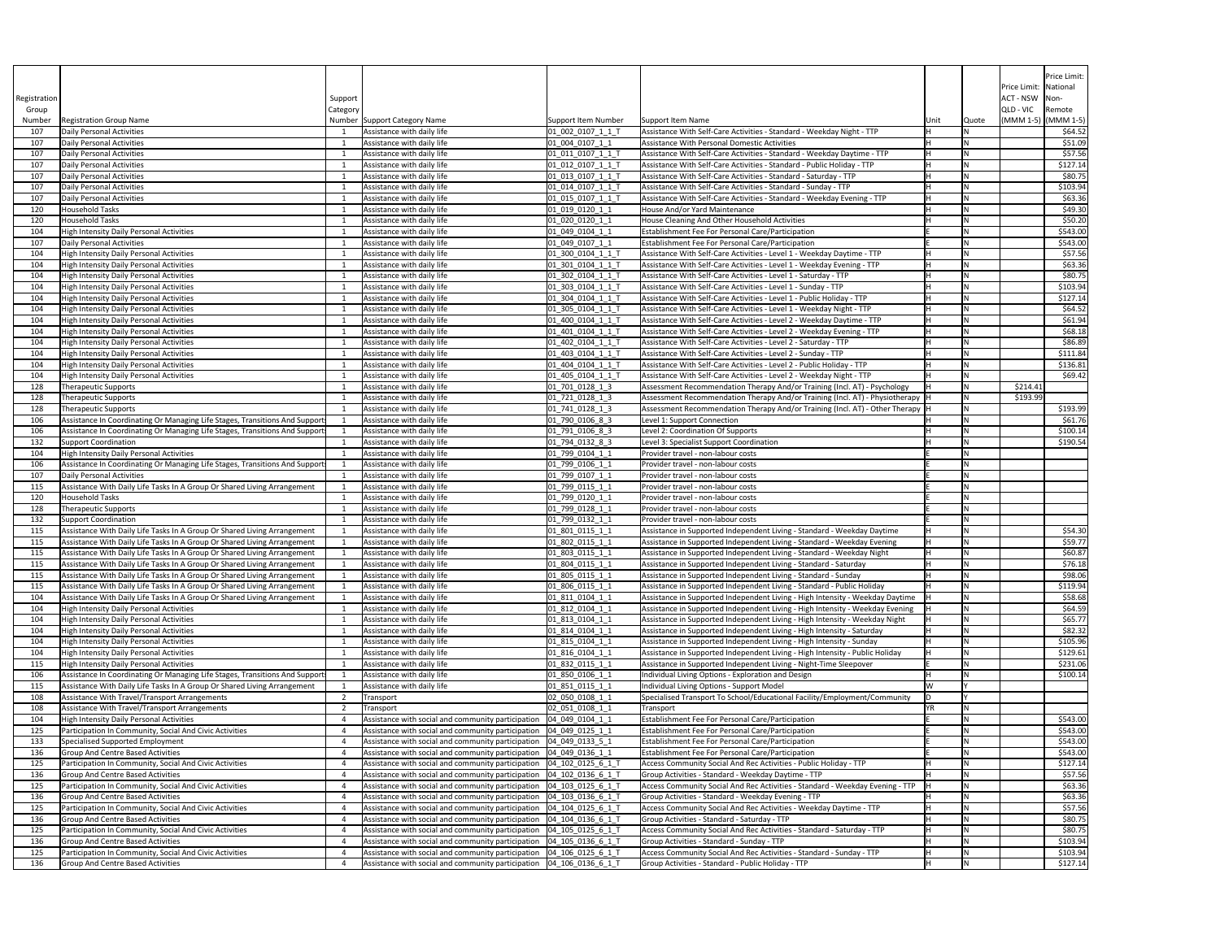|              |                                                                                                                                                      |          |                                                                                                                                                              |                                                     |                                                                                                                                                |      |       |                                         | Price Limit:         |
|--------------|------------------------------------------------------------------------------------------------------------------------------------------------------|----------|--------------------------------------------------------------------------------------------------------------------------------------------------------------|-----------------------------------------------------|------------------------------------------------------------------------------------------------------------------------------------------------|------|-------|-----------------------------------------|----------------------|
| Registration |                                                                                                                                                      | Support  |                                                                                                                                                              |                                                     |                                                                                                                                                |      |       | Price Limit: National<br>ACT - NSW Non- |                      |
| Group        |                                                                                                                                                      | Category |                                                                                                                                                              |                                                     |                                                                                                                                                |      |       | QLD - VIC Remote                        |                      |
| Number       | <b>Registration Group Name</b>                                                                                                                       |          | Number Support Category Name                                                                                                                                 | <b>Support Item Number</b>                          | Support Item Name                                                                                                                              | Unit | Quote | $(MMM 1-5)$ $(MMM 1-5)$                 |                      |
| 107          | Daily Personal Activities<br>Daily Personal Activities                                                                                               |          | Assistance with daily life<br>Assistance with daily life                                                                                                     | 01 002 0107 1 1 T                                   | Assistance With Self-Care Activities - Standard - Weekday Night - TTP<br>Assistance With Personal Domestic Activities                          |      |       |                                         | \$64.52<br>\$51.09   |
| 107<br>107   | Daily Personal Activities                                                                                                                            |          | Assistance with daily life                                                                                                                                   | $[01]$ $004$ $0107$ $1$ $1$<br>$[01_011_0107_11_1]$ | Assistance With Self-Care Activities - Standard - Weekday Daytime - TTP                                                                        |      |       |                                         | \$57.56              |
| 107          | Daily Personal Activities                                                                                                                            |          | Assistance with daily life                                                                                                                                   | 01 012 0107 1 1 T                                   | Assistance With Self-Care Activities - Standard - Public Holiday - TTP                                                                         |      |       |                                         | \$127.14             |
| 107          | Daily Personal Activities                                                                                                                            |          | Assistance with daily life                                                                                                                                   | $ 01_013_0107_11_T$                                 | Assistance With Self-Care Activities - Standard - Saturday - TTP                                                                               |      |       |                                         | \$80.75              |
| 107<br>107   | Daily Personal Activities<br>Daily Personal Activities                                                                                               |          | Assistance with daily life<br>Assistance with daily life                                                                                                     | 01 014 0107 1 1 T<br>01 015 0107 1 1 T              | Assistance With Self-Care Activities - Standard - Sunday - TTP<br>Assistance With Self-Care Activities - Standard - Weekday Evening - TTP      |      |       |                                         | \$103.94<br>\$63.36  |
| 120          | <b>Household Tasks</b>                                                                                                                               |          | Assistance with daily life                                                                                                                                   | $[01]$ $019$ $0120$ $1$ $1$                         | House And/or Yard Maintenance                                                                                                                  |      |       |                                         | \$49.30              |
| 120          | <b>Household Tasks</b>                                                                                                                               |          | Assistance with daily life                                                                                                                                   | 01 020 0120 1 1                                     | House Cleaning And Other Household Activities                                                                                                  |      |       |                                         | \$50.20              |
| 104          | High Intensity Daily Personal Activities<br>Daily Personal Activities                                                                                |          | Assistance with daily life<br>Assistance with daily life                                                                                                     | $[01]$ $049$ $0104$ $1$ $1$                         | <b>Establishment Fee For Personal Care/Participation</b><br>Establishment Fee For Personal Care/Participation                                  |      |       |                                         | \$543.00<br>\$543.00 |
| 107<br>104   | High Intensity Daily Personal Activities                                                                                                             |          | Assistance with daily life                                                                                                                                   | 01_049_0107_1_1<br>01_300_0104_1_1_T                | Assistance With Self-Care Activities - Level 1 - Weekday Daytime - TTP                                                                         |      |       |                                         | \$57.56              |
| 104          | High Intensity Daily Personal Activities                                                                                                             |          | Assistance with daily life                                                                                                                                   | $[01]$ 301 0104 1 1                                 | Assistance With Self-Care Activities - Level 1 - Weekday Evening - TTP                                                                         |      |       |                                         | \$63.36              |
| 104          | High Intensity Daily Personal Activities                                                                                                             |          | Assistance with daily life                                                                                                                                   | $01$ _302_0104_1_1_1                                | Assistance With Self-Care Activities - Level 1 - Saturday - TTP                                                                                |      |       |                                         | \$80.75              |
| 104          | High Intensity Daily Personal Activities                                                                                                             |          | Assistance with daily life                                                                                                                                   | $[01]$ 303 0104 1 1                                 | Assistance With Self-Care Activities - Level 1 - Sunday - TTP                                                                                  |      |       |                                         | \$103.94             |
| 104<br>104   | High Intensity Daily Personal Activities<br>High Intensity Daily Personal Activities                                                                 |          | Assistance with daily life<br>Assistance with daily life                                                                                                     | 01 304 0104 1 1 T<br>$[01]$ 305 0104 1 1            | Assistance With Self-Care Activities - Level 1 - Public Holiday - TTP<br>Assistance With Self-Care Activities - Level 1 - Weekday Night - TTP  |      |       |                                         | \$127.14<br>\$64.52  |
| 104          | High Intensity Daily Personal Activities                                                                                                             |          | Assistance with daily life                                                                                                                                   | $[01_400_0104_11_1]$                                | Assistance With Self-Care Activities - Level 2 - Weekday Daytime - TTP                                                                         |      |       |                                         | \$61.94              |
| 104          | High Intensity Daily Personal Activities                                                                                                             |          | Assistance with daily life                                                                                                                                   | 01_401_0104_1_1_T                                   | Assistance With Self-Care Activities - Level 2 - Weekday Evening - TTP                                                                         |      |       |                                         | \$68.18              |
| 104          | High Intensity Daily Personal Activities                                                                                                             |          | Assistance with daily life                                                                                                                                   | $ 01_402_0104_11_1$                                 | Assistance With Self-Care Activities - Level 2 - Saturday - TTP                                                                                |      |       |                                         | \$86.89              |
| 104          | High Intensity Daily Personal Activities                                                                                                             |          | Assistance with daily life                                                                                                                                   | 01_403_0104_1_1_T                                   | Assistance With Self-Care Activities - Level 2 - Sunday - TTP                                                                                  |      |       |                                         | \$111.84             |
| 104<br>104   | High Intensity Daily Personal Activities<br>High Intensity Daily Personal Activities                                                                 |          | Assistance with daily life<br>Assistance with daily life                                                                                                     | $[01_404_0104_11_$<br>$[01_405_0104_11_1]$          | Assistance With Self-Care Activities - Level 2 - Public Holiday - TTP<br>Assistance With Self-Care Activities - Level 2 - Weekday Night - TTP  |      |       |                                         | \$136.81<br>\$69.42  |
| 128          | Therapeutic Supports                                                                                                                                 |          | Assistance with daily life                                                                                                                                   | 01 701 0128 1 3                                     | Assessment Recommendation Therapy And/or Training (Incl. AT) - Psychology                                                                      |      |       | \$214.41                                |                      |
| 128          | Therapeutic Supports                                                                                                                                 |          | Assistance with daily life                                                                                                                                   | $[01]$ 721 0128 1 3                                 | Assessment Recommendation Therapy And/or Training (Incl. AT) - Physiotherapy  H                                                                |      |       | \$193.99                                |                      |
| 128          | Therapeutic Supports                                                                                                                                 |          | Assistance with daily life                                                                                                                                   | $ 01_741_0128_1_3 $                                 | Assessment Recommendation Therapy And/or Training (Incl. AT) - Other Therapy  H                                                                |      |       |                                         | \$193.99             |
|              | Assistance In Coordinating Or Managing Life Stages, Transitions And Support                                                                          |          | Assistance with daily life                                                                                                                                   |                                                     | Level 1: Support Connection                                                                                                                    |      |       |                                         | \$61.76              |
| 106<br>132   | Assistance In Coordinating Or Managing Life Stages, Transitions And Support<br>Support Coordination                                                  |          | Assistance with daily life<br>Assistance with daily life                                                                                                     | $ 01 \t791 \t0106 \t8 \t3$<br>01 794 0132 8 3       | Level 2: Coordination Of Supports<br>Level 3: Specialist Support Coordination                                                                  |      |       |                                         | \$100.14<br>\$190.54 |
| 104          | High Intensity Daily Personal Activities                                                                                                             |          | Assistance with daily life                                                                                                                                   | $[01]$ 799 0104 1 1                                 | Provider travel - non-labour costs                                                                                                             |      |       |                                         |                      |
| 106          | Assistance In Coordinating Or Managing Life Stages, Transitions And Support                                                                          |          | Assistance with daily life                                                                                                                                   | $[01]$ 799 0106 1 1                                 | Provider travel - non-labour costs                                                                                                             |      |       |                                         |                      |
| 107          | Daily Personal Activities                                                                                                                            |          | Assistance with daily life                                                                                                                                   | $[01]$ 799 0107 1 1                                 | Provider travel - non-labour costs                                                                                                             |      |       |                                         |                      |
| 115          | Assistance With Daily Life Tasks In A Group Or Shared Living Arrangement                                                                             |          | Assistance with daily life                                                                                                                                   | $[01]$ 799 0115 1 1                                 | Provider travel - non-labour costs                                                                                                             |      |       |                                         |                      |
| 120<br>128   | <b>Household Tasks</b><br>Therapeutic Supports                                                                                                       |          | Assistance with daily life<br>Assistance with daily life                                                                                                     | 01_799_0120_1_1<br>$01_799_0128_11$                 | Provider travel - non-labour costs<br>Provider travel - non-labour costs                                                                       |      |       |                                         |                      |
| 132          | Support Coordination                                                                                                                                 |          | Assistance with daily life                                                                                                                                   | $[01]$ 799 0132 1 1                                 | Provider travel - non-labour costs                                                                                                             |      |       |                                         |                      |
| 115          | Assistance With Daily Life Tasks In A Group Or Shared Living Arrangement                                                                             |          | Assistance with daily life                                                                                                                                   | 01_801_0115_1_1                                     | Assistance in Supported Independent Living - Standard - Weekday Daytime                                                                        |      |       |                                         | \$54.30              |
| 115          | Assistance With Daily Life Tasks In A Group Or Shared Living Arrangement                                                                             |          | Assistance with daily life                                                                                                                                   | 01_802_0115_1_1                                     | Assistance in Supported Independent Living - Standard - Weekday Evening                                                                        |      |       |                                         | \$59.77              |
| 115          | Assistance With Daily Life Tasks In A Group Or Shared Living Arrangement                                                                             |          | Assistance with daily life                                                                                                                                   | 01 803 0115 1 1                                     | Assistance in Supported Independent Living - Standard - Weekday Night                                                                          |      |       |                                         | \$60.87              |
| 115<br>115   | Assistance With Daily Life Tasks In A Group Or Shared Living Arrangement<br>Assistance With Daily Life Tasks In A Group Or Shared Living Arrangement |          | Assistance with daily life<br>Assistance with daily life                                                                                                     | $01_804_0115_11$<br>01_805_0115_1_1                 | Assistance in Supported Independent Living - Standard - Saturday<br>Assistance in Supported Independent Living - Standard - Sunday             |      |       |                                         | \$76.18<br>\$98.06   |
| 115          | Assistance With Daily Life Tasks In A Group Or Shared Living Arrangement                                                                             |          | Assistance with daily life                                                                                                                                   | 01_806_0115_1_1                                     | Assistance in Supported Independent Living - Standard - Public Holiday                                                                         |      |       |                                         | \$119.94             |
| 104          | Assistance With Daily Life Tasks In A Group Or Shared Living Arrangement                                                                             |          | Assistance with daily life                                                                                                                                   | $[01_811_0104_1]$                                   | Assistance in Supported Independent Living - High Intensity - Weekday Daytime                                                                  |      |       |                                         | \$58.68              |
| 104          | <b>High Intensity Daily Personal Activities</b>                                                                                                      |          | Assistance with daily life                                                                                                                                   | 01 812 0104 1 1                                     | Assistance in Supported Independent Living - High Intensity - Weekday Evening                                                                  |      |       |                                         | \$64.59              |
| 104          | High Intensity Daily Personal Activities                                                                                                             |          | Assistance with daily life                                                                                                                                   | $[01_813_0104_1]$                                   | Assistance in Supported Independent Living - High Intensity - Weekday Night                                                                    |      |       |                                         | \$65.77              |
| 104<br>104   | <b>High Intensity Daily Personal Activities</b><br>High Intensity Daily Personal Activities                                                          |          | Assistance with daily life<br>Assistance with daily life                                                                                                     | 01_814_0104_1_1<br>01_815_0104_1_1                  | Assistance in Supported Independent Living - High Intensity - Saturday<br>Assistance in Supported Independent Living - High Intensity - Sunday |      |       |                                         | \$82.32<br>\$105.96  |
| 104          | High Intensity Daily Personal Activities                                                                                                             |          | Assistance with daily life                                                                                                                                   | 01 816 0104 11                                      | Assistance in Supported Independent Living - High Intensity - Public Holiday                                                                   |      |       |                                         | \$129.61             |
| 115          | High Intensity Daily Personal Activities                                                                                                             |          | Assistance with daily life                                                                                                                                   | 01_832_0115_1_1                                     | Assistance in Supported Independent Living - Night-Time Sleepover                                                                              |      |       |                                         | \$231.06             |
| 106          | Assistance In Coordinating Or Managing Life Stages, Transitions And Support                                                                          |          | Assistance with daily life                                                                                                                                   | $ 01_850_0106_11_1$                                 | Individual Living Options - Exploration and Design                                                                                             |      |       |                                         | \$100.14             |
| <u> 115</u>  | Assistance With Daily Life Tasks In A Group Or Shared Living Arrangement                                                                             |          | Assistance with daily life                                                                                                                                   | 01_851_0115_1_1                                     | Individual Living Options - Support Model                                                                                                      | W    |       |                                         |                      |
| 108          | Assistance With Travel/Transport Arrangements                                                                                                        |          | Transport                                                                                                                                                    | 02 050 0108 1 1                                     | Specialised Transport To School/Educational Facility/Employment/Community                                                                      |      |       |                                         |                      |
| 108<br>104   | Assistance With Travel/Transport Arrangements<br>High Intensity Daily Personal Activities                                                            |          | Transport<br>Assistance with social and community participation   04_049_0104_1_1                                                                            | 02 051 0108 1 1                                     | Transport<br><b>Establishment Fee For Personal Care/Participation</b>                                                                          | ΥR   |       |                                         | \$543.00             |
| 125          | Participation In Community, Social And Civic Activities                                                                                              |          | Assistance with social and community participation   04_049_0125_1_1                                                                                         |                                                     | <b>Establishment Fee For Personal Care/Participation</b>                                                                                       |      |       |                                         | \$543.00             |
| 133          | Specialised Supported Employment                                                                                                                     |          | Assistance with social and community participation   04_049_0133_5_1                                                                                         |                                                     | <b>Establishment Fee For Personal Care/Participation</b>                                                                                       |      |       |                                         | \$543.00             |
| 136          | Group And Centre Based Activities                                                                                                                    |          | Assistance with social and community participation   04_049_0136_1_1                                                                                         |                                                     | <b>Establishment Fee For Personal Care/Participation</b>                                                                                       |      |       |                                         | \$543.00             |
| 125          | Participation In Community, Social And Civic Activities                                                                                              |          | Assistance with social and community participation $\vert$ 04 102 0125 6 1 1                                                                                 |                                                     | Access Community Social And Rec Activities - Public Holiday - TTP                                                                              |      |       |                                         | \$127.14             |
| 136<br>125   | Group And Centre Based Activities<br>Participation In Community, Social And Civic Activities                                                         |          | Assistance with social and community participation $\vert$ 04_102_0136_6_1_T<br>Assistance with social and community participation   04_103_0125_6_1_T       |                                                     | Group Activities - Standard - Weekday Daytime - TTP<br>Access Community Social And Rec Activities - Standard - Weekday Evening - TTP           |      |       |                                         | \$57.56<br>\$63.36   |
| 136          | Group And Centre Based Activities                                                                                                                    |          | Assistance with social and community participation                                                                                                           | 04 103 0136 6 1 T                                   | Group Activities - Standard - Weekday Evening - TTP                                                                                            |      | N     |                                         | \$63.36              |
| 125          | Participation In Community, Social And Civic Activities                                                                                              |          | Assistance with social and community participation   04_104_0125_6_1_T                                                                                       |                                                     | Access Community Social And Rec Activities - Weekday Daytime - TTP                                                                             |      |       |                                         | \$57.56              |
| 136          | Group And Centre Based Activities                                                                                                                    |          | Assistance with social and community participation $\vert$ 04 104 0136 6 1 T                                                                                 |                                                     | Group Activities - Standard - Saturday - TTP                                                                                                   |      |       |                                         | \$80.75              |
| 125          | Participation In Community, Social And Civic Activities                                                                                              |          | Assistance with social and community participation   04 105 0125 6 1 T                                                                                       |                                                     | Access Community Social And Rec Activities - Standard - Saturday - TTP                                                                         |      |       |                                         | \$80.75              |
| 136          | Group And Centre Based Activities                                                                                                                    |          | Assistance with social and community participation   04_105_0136_6_1_T                                                                                       |                                                     | Group Activities - Standard - Sunday - TTP                                                                                                     |      |       |                                         | \$103.94             |
| 125<br>136   | Participation In Community, Social And Civic Activities<br>Group And Centre Based Activities                                                         |          | Assistance with social and community participation $\vert$ 04 106 0125 6 1 T<br>Assistance with social and community participation $\vert$ 04 106 0136 6 1 1 |                                                     | Access Community Social And Rec Activities - Standard - Sunday - TTP<br>Group Activities - Standard - Public Holiday - TTP                     |      |       |                                         | \$103.94<br>\$127.14 |
|              |                                                                                                                                                      |          |                                                                                                                                                              |                                                     |                                                                                                                                                |      |       |                                         |                      |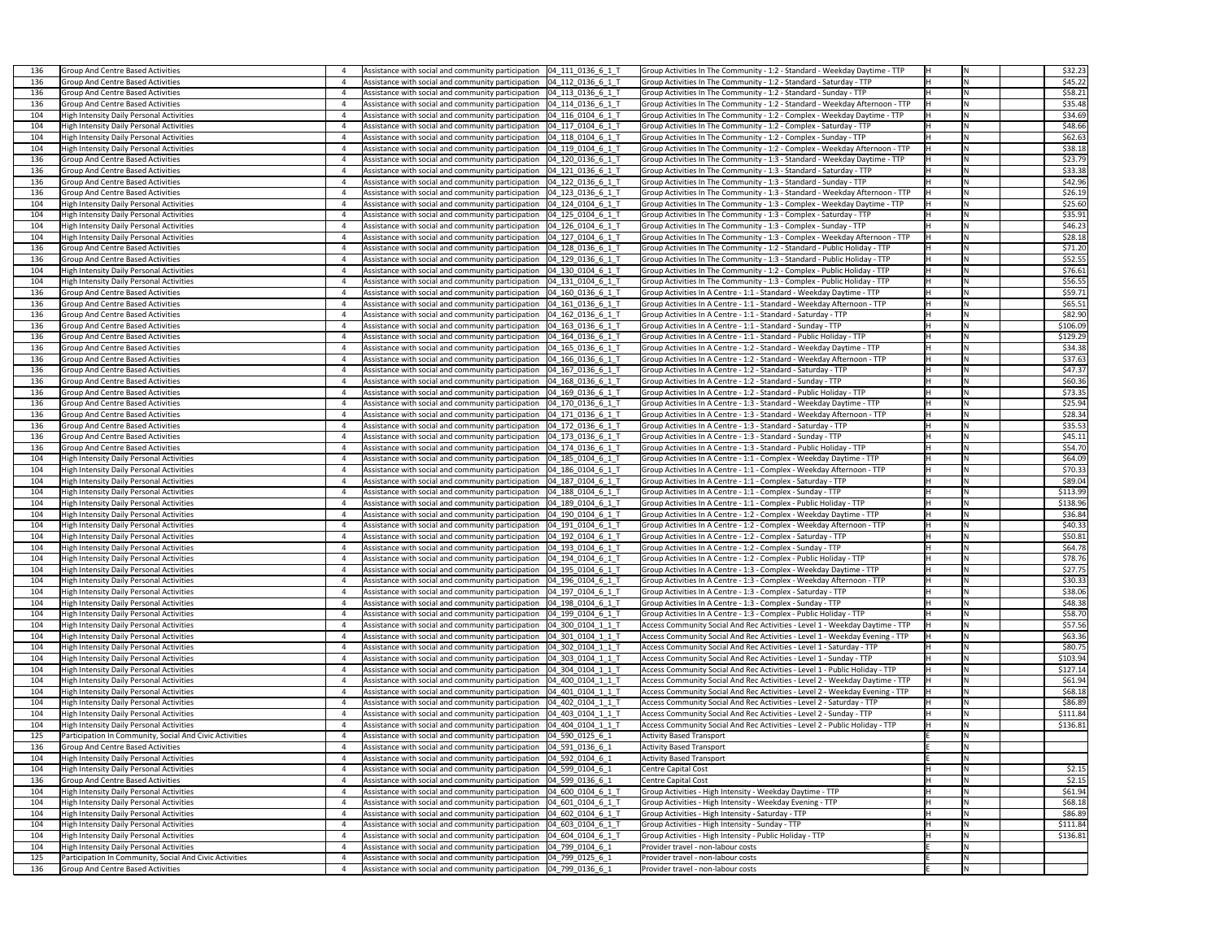| 136  | Group And Centre Based Activities                       | Assistance with social and community participation $\vert$ 04 111 0136 6 1 1 | Group Activities In The Community - 1:2 - Standard - Weekday Daytime - TTP   | İN   | \$32.23  |
|------|---------------------------------------------------------|------------------------------------------------------------------------------|------------------------------------------------------------------------------|------|----------|
| 136  | Group And Centre Based Activities                       | Assistance with social and community participation   04_112_0136_6_1_T       | Group Activities In The Community - 1:2 - Standard - Saturday - TTP          |      | \$45.22  |
| 136  | Group And Centre Based Activities                       | Assistance with social and community participation   04 113 0136 6 1 1       | Group Activities In The Community - 1:2 - Standard - Sunday - TTP            |      | \$58.21  |
| 136  | Group And Centre Based Activities                       | Assistance with social and community participation   04 114 0136 6 1 1       | Group Activities In The Community - 1:2 - Standard - Weekday Afternoon - TTP | l Ni | \$35.48  |
| 104  | High Intensity Daily Personal Activities                | Assistance with social and community participation   04_116_0104_6_1_T       | Group Activities In The Community - 1:2 - Complex - Weekday Daytime - TTP    |      | \$34.69  |
| 104  | <b>High Intensity Daily Personal Activities</b>         | Assistance with social and community participation   04_117_0104_6_1_T       | Group Activities In The Community - 1:2 - Complex - Saturday - TTP           |      | \$48.66  |
| 104  | High Intensity Daily Personal Activities                | Assistance with social and community participation   04_118_0104_6_1_T       | Group Activities In The Community - 1:2 - Complex - Sunday - TTP             |      | \$62.63  |
|      |                                                         |                                                                              |                                                                              |      |          |
| 104  | High Intensity Daily Personal Activities                | Assistance with social and community participation   04_119_0104_6_1_1       | Group Activities In The Community - 1:2 - Complex - Weekday Afternoon - TTP  |      | \$38.18  |
| 136  | Group And Centre Based Activities                       | Assistance with social and community participation   04 120 0136 6 1 1       | Group Activities In The Community - 1:3 - Standard - Weekday Daytime - TTP   |      | \$23.79  |
| 136  | Group And Centre Based Activities                       | Assistance with social and community participation   04_121_0136_6_1_T       | Group Activities In The Community - 1:3 - Standard - Saturday - TTP          |      | \$33.38  |
| 136  | Group And Centre Based Activities                       | Assistance with social and community participation   04_122_0136_6_1_1       | Group Activities In The Community - 1:3 - Standard - Sunday - TTP            |      | \$42.96  |
| 136  | Group And Centre Based Activities                       | Assistance with social and community participation   04_123_0136_6_1_T       | Group Activities In The Community - 1:3 - Standard - Weekday Afternoon - TTP |      | \$26.19  |
| 104  | High Intensity Daily Personal Activities                | Assistance with social and community participation   04_124_0104_6_1_1       | Group Activities In The Community - 1:3 - Complex - Weekday Daytime - TTP    |      | \$25.60  |
| 104  | High Intensity Daily Personal Activities                | Assistance with social and community participation   04 125 0104 6 1 1       | Group Activities In The Community - 1:3 - Complex - Saturday - TTP           | lN.  | \$35.91  |
| 104  | <b>High Intensity Daily Personal Activities</b>         | Assistance with social and community participation   04 126 0104 6 1 T       | Group Activities In The Community - 1:3 - Complex - Sunday - TTP             |      | \$46.23  |
| 104  | High Intensity Daily Personal Activities                | Assistance with social and community participation   04_127_0104_6_1_1       | Group Activities In The Community - 1:3 - Complex - Weekday Afternoon - TTP  |      | \$28.18  |
|      |                                                         |                                                                              |                                                                              |      |          |
| 136  | Group And Centre Based Activities                       | Assistance with social and community participation   04_128_0136_6_1_T       | Group Activities In The Community - 1:2 - Standard - Public Holiday - TTP    |      | \$71.20  |
| 136  | Group And Centre Based Activities                       | Assistance with social and community participation   04 129 0136 6 1 1       | Group Activities In The Community - 1:3 - Standard - Public Holiday - TTP    |      | \$52.55  |
| 104  | High Intensity Daily Personal Activities                | Assistance with social and community participation   04 130 0104 6 1 1       | Group Activities In The Community - 1:2 - Complex - Public Holiday - TTP     | Iц   | \$76.61  |
| 104  | <b>High Intensity Daily Personal Activities</b>         | Assistance with social and community participation   04 131 0104 6 1 T       | Group Activities In The Community - 1:3 - Complex - Public Holiday - TTP     |      | \$56.55  |
| 136  | Group And Centre Based Activities                       | Assistance with social and community participation   04_160_0136_6_1_T       | Group Activities In A Centre - 1:1 - Standard - Weekday Daytime - TTP        |      | \$59.71  |
| 136  | Group And Centre Based Activities                       | Assistance with social and community participation   04_161_0136_6_1_1       | Group Activities In A Centre - 1:1 - Standard - Weekday Afternoon - TTP      |      | \$65.51  |
| 136  | Group And Centre Based Activities                       | Assistance with social and community participation   04_162_0136_6_1_1       | Group Activities In A Centre - 1:1 - Standard - Saturday - TTP               |      | \$82.90  |
| 136  | Group And Centre Based Activities                       | Assistance with social and community participation   04_163_0136_6_1_1       | Group Activities In A Centre - 1:1 - Standard - Sunday - TTP                 |      | \$106.09 |
|      |                                                         |                                                                              |                                                                              |      |          |
| 136  | Group And Centre Based Activities                       | Assistance with social and community participation   04_164_0136_6_1_T       | Group Activities In A Centre - 1:1 - Standard - Public Holiday - TTP         |      | \$129.29 |
| 136  | Group And Centre Based Activities                       | Assistance with social and community participation   04_165_0136_6_1_1       | Group Activities In A Centre - 1:2 - Standard - Weekday Daytime - TTP        |      | \$34.38  |
| 136  | Group And Centre Based Activities                       | Assistance with social and community participation   04_166_0136_6_1_T       | Group Activities In A Centre - 1:2 - Standard - Weekday Afternoon - TTP      |      | \$37.63  |
| 136  | Group And Centre Based Activities                       | Assistance with social and community participation   04 167 0136 6 1 1       | Group Activities In A Centre - 1:2 - Standard - Saturday - TTP               |      | \$47.37  |
| 136  | Group And Centre Based Activities                       | Assistance with social and community participation   04_168_0136_6_1_1       | Group Activities In A Centre - 1:2 - Standard - Sunday - TTP                 | ا ۱۸ | \$60.36  |
| 136  | Group And Centre Based Activities                       | Assistance with social and community participation   04_169_0136_6_1_T       | Group Activities In A Centre - 1:2 - Standard - Public Holiday - TTP         |      | \$73.35  |
| 136  | Group And Centre Based Activities                       | Assistance with social and community participation   04_170_0136_6_1_1       | Group Activities In A Centre - 1:3 - Standard - Weekday Daytime - TTP        |      | \$25.94  |
| 136  | Group And Centre Based Activities                       | Assistance with social and community participation $\vert$ 04 171 0136 6 1 1 | Group Activities In A Centre - 1:3 - Standard - Weekday Afternoon - TTP      |      | \$28.34  |
| -136 | Group And Centre Based Activities                       | Assistance with social and community participation   04_172_0136_6_1_1       | Group Activities In A Centre - 1:3 - Standard - Saturday - TTP               |      | \$35.53  |
|      |                                                         |                                                                              |                                                                              |      |          |
| 136  | Group And Centre Based Activities                       | Assistance with social and community participation $\vert$ 04 173 0136 6 1 1 | Group Activities In A Centre - 1:3 - Standard - Sunday - TTP                 |      | \$45.11  |
| 136  | Group And Centre Based Activities                       | Assistance with social and community participation   04_174_0136_6_1_T       | Group Activities In A Centre - 1:3 - Standard - Public Holiday - TTP         |      | \$54.70  |
| 104  | High Intensity Daily Personal Activities                | Assistance with social and community participation   04_185_0104_6_1_T       | Group Activities In A Centre - 1:1 - Complex - Weekday Daytime - TTP         |      | \$64.09  |
| 104  | High Intensity Daily Personal Activities                | Assistance with social and community participation   04_186_0104_6_1_T       | Group Activities In A Centre - 1:1 - Complex - Weekday Afternoon - TTP       |      | \$70.33  |
| 104  | High Intensity Daily Personal Activities                | Assistance with social and community participation   04_187_0104_6_1_T       | Group Activities In A Centre - 1:1 - Complex - Saturday - TTP                |      | \$89.04  |
| -104 | <b>High Intensity Daily Personal Activities</b>         | Assistance with social and community participation   04_188_0104_6_1_1       | Group Activities In A Centre - 1:1 - Complex - Sunday - TTP                  |      | \$113.99 |
| 104  | High Intensity Daily Personal Activities                | Assistance with social and community participation   04 189 0104 6 1 T       | Group Activities In A Centre - 1:1 - Complex - Public Holiday - TTP          |      | \$138.96 |
| 104  | High Intensity Daily Personal Activities                | Assistance with social and community participation   04_190_0104_6_1_1       | Group Activities In A Centre - 1:2 - Complex - Weekday Daytime - TTP         |      | \$36.84  |
| 104  | High Intensity Daily Personal Activities                | Assistance with social and community participation   04_191_0104_6_1_T       | Group Activities In A Centre - 1:2 - Complex - Weekday Afternoon - TTP       |      | \$40.33  |
| 104  |                                                         |                                                                              |                                                                              |      | \$50.81  |
|      | High Intensity Daily Personal Activities                | Assistance with social and community participation   04_192_0104_6_1_T       | Group Activities In A Centre - 1:2 - Complex - Saturday - TTP                |      |          |
| 104  | High Intensity Daily Personal Activities                | Assistance with social and community participation   04_193_0104_6_1_1       | Group Activities In A Centre - 1:2 - Complex - Sunday - TTP                  |      | \$64.78  |
| 104  | High Intensity Daily Personal Activities                | Assistance with social and community participation   04_194_0104_6_1_T       | Group Activities In A Centre - 1:2 - Complex - Public Holiday - TTP          |      | \$78.76  |
| 104  | High Intensity Daily Personal Activities                | Assistance with social and community participation   04_195_0104_6_1_T       | Group Activities In A Centre - 1:3 - Complex - Weekday Daytime - TTP         |      | \$27.75  |
| 104  | High Intensity Daily Personal Activities                | Assistance with social and community participation   04_196_0104_6_1_T       | Group Activities In A Centre - 1:3 - Complex - Weekday Afternoon - TTP       |      | \$30.33  |
| 104  | High Intensity Daily Personal Activities                | Assistance with social and community participation   04_197_0104_6_1_T       | Group Activities In A Centre - 1:3 - Complex - Saturday - TTP                |      | \$38.06  |
| 104  | <b>High Intensity Daily Personal Activities</b>         | Assistance with social and community participation   04_198_0104_6_1_1       | Group Activities In A Centre - 1:3 - Complex - Sunday - TTP                  |      | \$48.38  |
| 104  | High Intensity Daily Personal Activities                | Assistance with social and community participation   04_199_0104_6_1_T       | Group Activities In A Centre - 1:3 - Complex - Public Holiday - TTP          |      | \$58.70  |
| 104  | High Intensity Daily Personal Activities                | Assistance with social and community participation   04_300_0104_1_1_1       | Access Community Social And Rec Activities - Level 1 - Weekday Daytime - TTP |      | \$57.56  |
| 104  | High Intensity Daily Personal Activities                | Assistance with social and community participation   04_301_0104_1_1_T       | Access Community Social And Rec Activities - Level 1 - Weekday Evening - TTP |      | \$63.36  |
|      |                                                         |                                                                              |                                                                              |      |          |
| 104  | High Intensity Daily Personal Activities                | Assistance with social and community participation   04_302_0104_1_1_T       | Access Community Social And Rec Activities - Level 1 - Saturday - TTP        |      | \$80.75  |
| 104  | <b>High Intensity Daily Personal Activities</b>         | Assistance with social and community participation   04 303 0104 1 1 T       | Access Community Social And Rec Activities - Level 1 - Sunday - TTP          |      | \$103.94 |
| 104  | High Intensity Daily Personal Activities                | Assistance with social and community participation   04 304 0104 1 1 T       | Access Community Social And Rec Activities - Level 1 - Public Holiday - TTP  |      | \$127.14 |
| 104  | <b>High Intensity Daily Personal Activities</b>         | Assistance with social and community participation   04_400_0104_1_1_T       | Access Community Social And Rec Activities - Level 2 - Weekday Daytime - TTP |      | \$61.94  |
| 104  | <b>High Intensity Daily Personal Activities</b>         | Assistance with social and community participation   04_401_0104_1_1_T       | Access Community Social And Rec Activities - Level 2 - Weekday Evening - TTP |      | \$68.18  |
| 104  | High Intensity Daily Personal Activities                | Assistance with social and community participation   04 402 0104 1 1 T       | Access Community Social And Rec Activities - Level 2 - Saturday - TTP        |      | \$86.89  |
| 104  | High Intensity Daily Personal Activities                | Assistance with social and community participation   04_403_0104_1_1_T       | Access Community Social And Rec Activities - Level 2 - Sunday - TTP          |      | \$111.84 |
| 104  | High Intensity Daily Personal Activities                | Assistance with social and community participation   04 404 0104 1 1 T       | Access Community Social And Rec Activities - Level 2 - Public Holiday - TTP  |      | \$136.81 |
| 125  | Participation In Community, Social And Civic Activities | Assistance with social and community participation   04 590 0125 6 1         | <b>Activity Based Transport</b>                                              |      |          |
|      |                                                         |                                                                              |                                                                              |      |          |
| 136  | Group And Centre Based Activities                       | Assistance with social and community participation $\vert$ 04_591_0136_6_1   | <b>Activity Based Transport</b>                                              |      |          |
|      | High Intensity Daily Personal Activities                | Assistance with social and community participation $\vert$ 04_592_0104_6_1   | <b>Activity Based Transport</b>                                              |      |          |
| 104  | High Intensity Daily Personal Activities                | Assistance with social and community participation   04 599 0104 6 1         | Centre Capital Cost                                                          | İN   | \$2.15   |
| 136  | Group And Centre Based Activities                       | Assistance with social and community participation $\vert$ 04 599 0136 6 1   | Centre Capital Cost                                                          |      | \$2.15   |
| 104  | High Intensity Daily Personal Activities                | Assistance with social and community participation   04 600 0104 6 1 T       | Group Activities - High Intensity - Weekday Daytime - TTP                    |      | \$61.94  |
| 104  | High Intensity Daily Personal Activities                | Assistance with social and community participation $\vert$ 04 601 0104 6 1 T | Group Activities - High Intensity - Weekday Evening - TTP                    |      | \$68.18  |
| 104  | High Intensity Daily Personal Activities                | Assistance with social and community participation   04 602 0104 6 1 T       | Group Activities - High Intensity - Saturday - TTP                           |      | \$86.89  |
| 104  | High Intensity Daily Personal Activities                | Assistance with social and community participation $\vert$ 04 603 0104 6 1 T | Group Activities - High Intensity - Sunday - TTP                             |      | \$111.84 |
| 104  | High Intensity Daily Personal Activities                | Assistance with social and community participation   04_604_0104_6_1_T       | Group Activities - High Intensity - Public Holiday - TTP                     |      | \$136.81 |
| 104  | High Intensity Daily Personal Activities                | Assistance with social and community participation   04_799_0104_6_1         | Provider travel - non-labour costs                                           |      |          |
| 125  | Participation In Community, Social And Civic Activities | Assistance with social and community participation $\vert$ 04_799_0125_6_1   | Provider travel - non-labour costs                                           |      |          |
|      |                                                         |                                                                              |                                                                              |      |          |
| 136  | Group And Centre Based Activities                       | Assistance with social and community participation   04_799_0136_6_1         | Provider travel - non-labour costs                                           |      |          |